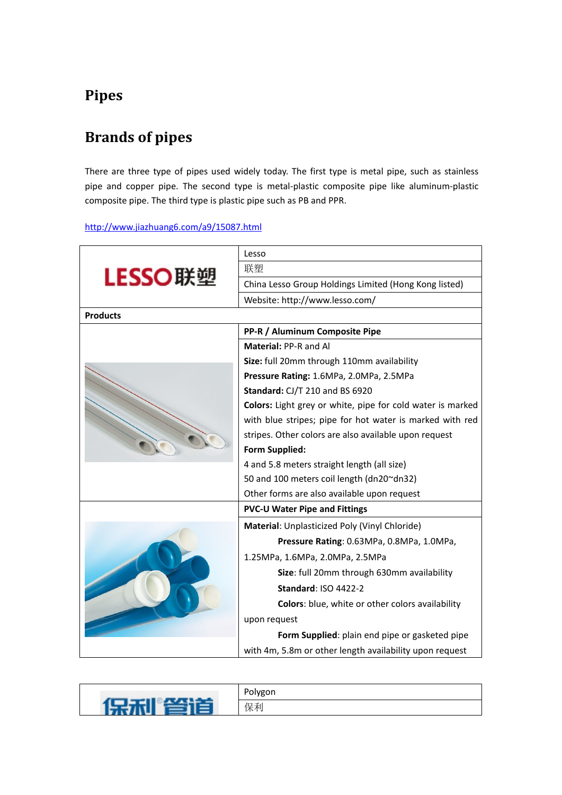## **Pipes**

## **Brands of pipes**

There are three type of pipes used widely today. The first type is metal pipe, such as stainless pipe and copper pipe. The second type is metal-plastic composite pipe like aluminum-plastic composite pipe. The third type is plastic pipe such as PB and PPR.

<http://www.jiazhuang6.com/a9/15087.html>

| LESSO联塑         | Lesso                                                      |
|-----------------|------------------------------------------------------------|
|                 | 联塑                                                         |
|                 | China Lesso Group Holdings Limited (Hong Kong listed)      |
|                 | Website: http://www.lesso.com/                             |
| <b>Products</b> |                                                            |
|                 | PP-R / Aluminum Composite Pipe                             |
|                 | Material: PP-R and Al                                      |
|                 | Size: full 20mm through 110mm availability                 |
|                 | Pressure Rating: 1.6MPa, 2.0MPa, 2.5MPa                    |
|                 | Standard: CJ/T 210 and BS 6920                             |
|                 | Colors: Light grey or white, pipe for cold water is marked |
|                 | with blue stripes; pipe for hot water is marked with red   |
|                 | stripes. Other colors are also available upon request      |
|                 | <b>Form Supplied:</b>                                      |
|                 | 4 and 5.8 meters straight length (all size)                |
|                 | 50 and 100 meters coil length (dn20~dn32)                  |
|                 | Other forms are also available upon request                |
|                 | <b>PVC-U Water Pipe and Fittings</b>                       |
|                 | Material: Unplasticized Poly (Vinyl Chloride)              |
|                 | Pressure Rating: 0.63MPa, 0.8MPa, 1.0MPa,                  |
|                 | 1.25MPa, 1.6MPa, 2.0MPa, 2.5MPa                            |
|                 | Size: full 20mm through 630mm availability                 |
|                 | <b>Standard: ISO 4422-2</b>                                |
|                 | Colors: blue, white or other colors availability           |
|                 | upon request                                               |
|                 | Form Supplied: plain end pipe or gasketed pipe             |
|                 | with 4m, 5.8m or other length availability upon request    |
|                 |                                                            |

| سند | Polygon |
|-----|---------|
|     | 保利      |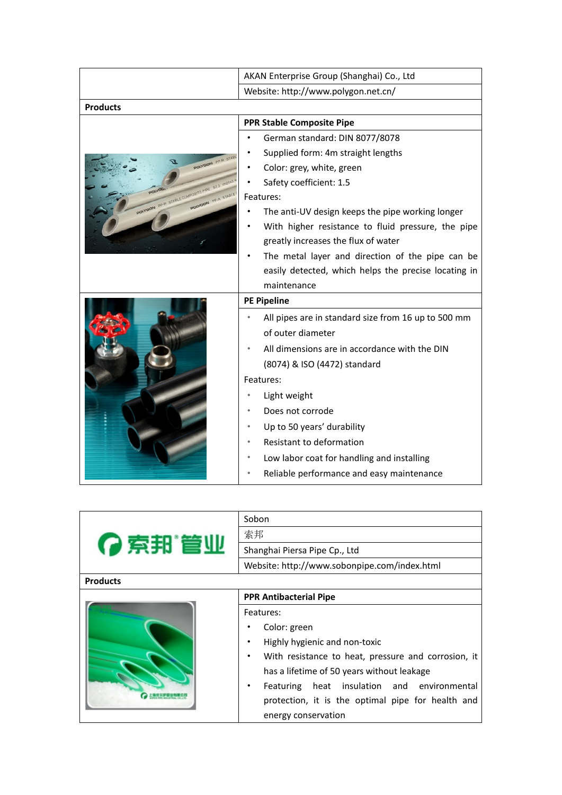|                                                                      | AKAN Enterprise Group (Shanghai) Co., Ltd                     |
|----------------------------------------------------------------------|---------------------------------------------------------------|
|                                                                      | Website: http://www.polygon.net.cn/                           |
| <b>Products</b>                                                      |                                                               |
| POLYGON PP.R STAB<br><b>ABLE COMPOSITE PIL</b><br>POLYGON PP.R STARL | <b>PPR Stable Composite Pipe</b>                              |
|                                                                      | German standard: DIN 8077/8078                                |
|                                                                      | Supplied form: 4m straight lengths                            |
|                                                                      | Color: grey, white, green                                     |
|                                                                      | Safety coefficient: 1.5                                       |
|                                                                      | Features:                                                     |
|                                                                      | The anti-UV design keeps the pipe working longer              |
|                                                                      | With higher resistance to fluid pressure, the pipe            |
|                                                                      | greatly increases the flux of water                           |
|                                                                      | The metal layer and direction of the pipe can be<br>$\bullet$ |
|                                                                      | easily detected, which helps the precise locating in          |
|                                                                      | maintenance                                                   |
|                                                                      | <b>PE Pipeline</b>                                            |
|                                                                      | All pipes are in standard size from 16 up to 500 mm           |
|                                                                      | of outer diameter                                             |
|                                                                      | All dimensions are in accordance with the DIN<br>٠            |
|                                                                      | (8074) & ISO (4472) standard                                  |
|                                                                      | Features:                                                     |
|                                                                      | Light weight                                                  |
|                                                                      | Does not corrode<br>٠                                         |
|                                                                      | Up to 50 years' durability                                    |
|                                                                      | Resistant to deformation                                      |
|                                                                      | Low labor coat for handling and installing<br>٠               |
|                                                                      |                                                               |
|                                                                      | Reliable performance and easy maintenance                     |

| ?索邦管业           | Sobon                                                    |
|-----------------|----------------------------------------------------------|
|                 | 索邦                                                       |
|                 | Shanghai Piersa Pipe Cp., Ltd                            |
|                 | Website: http://www.sobonpipe.com/index.html             |
| <b>Products</b> |                                                          |
|                 | <b>PPR Antibacterial Pipe</b>                            |
|                 | Features:                                                |
|                 | Color: green                                             |
|                 | Highly hygienic and non-toxic<br>٠                       |
|                 | With resistance to heat, pressure and corrosion, it<br>٠ |
|                 | has a lifetime of 50 years without leakage               |
|                 | Featuring heat insulation and environmental<br>٠         |
|                 | protection, it is the optimal pipe for health and        |
|                 | energy conservation                                      |